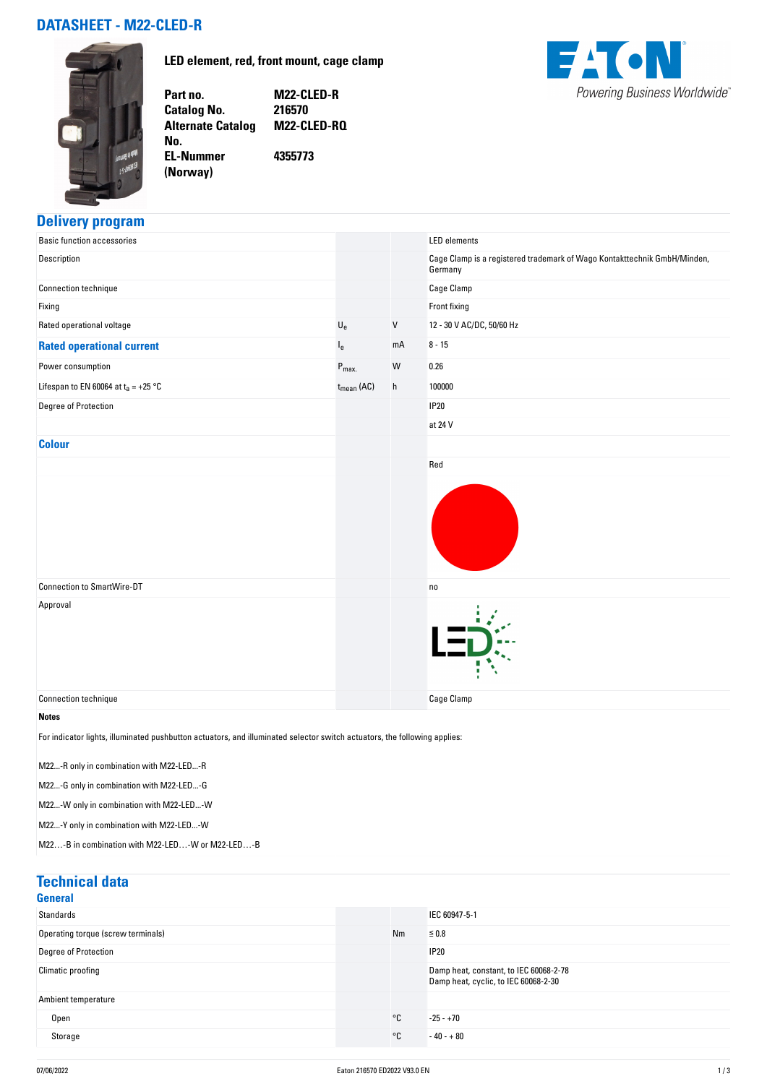# **DATASHEET - M22-CLED-R**

**No.** 

**(Norway)** 

**LED element, red, front mount, cage clamp**



**Part no. M22-CLED-R Catalog No. Alternate Catalog M22-CLED-RQ EL-Nummer 4355773**

#### **Delivery program**

| <b>Basic function accessories</b>                                                                                         |                           |                           | <b>LED</b> elements                                                                 |
|---------------------------------------------------------------------------------------------------------------------------|---------------------------|---------------------------|-------------------------------------------------------------------------------------|
| Description                                                                                                               |                           |                           | Cage Clamp is a registered trademark of Wago Kontakttechnik GmbH/Minden,<br>Germany |
| Connection technique                                                                                                      |                           |                           | Cage Clamp                                                                          |
| Fixing                                                                                                                    |                           |                           | Front fixing                                                                        |
| Rated operational voltage                                                                                                 | $\mathsf{U}_{\mathsf{e}}$ | V                         | 12 - 30 V AC/DC, 50/60 Hz                                                           |
| <b>Rated operational current</b>                                                                                          | l <sub>e</sub>            | mA                        | $8 - 15$                                                                            |
| Power consumption                                                                                                         | $P_{max.}$                | W                         | 0.26                                                                                |
| Lifespan to EN 60064 at $t_a = +25$ °C                                                                                    | $t_{mean}$ (AC)           | $\boldsymbol{\mathsf{h}}$ | 100000                                                                              |
| Degree of Protection                                                                                                      |                           |                           | <b>IP20</b>                                                                         |
|                                                                                                                           |                           |                           | at 24 V                                                                             |
| <b>Colour</b>                                                                                                             |                           |                           |                                                                                     |
|                                                                                                                           |                           |                           | Red                                                                                 |
|                                                                                                                           |                           |                           |                                                                                     |
| <b>Connection to SmartWire-DT</b>                                                                                         |                           |                           | no                                                                                  |
| Approval                                                                                                                  |                           |                           |                                                                                     |
| Connection technique                                                                                                      |                           |                           | <b>Cage Clamp</b>                                                                   |
| <b>Notes</b>                                                                                                              |                           |                           |                                                                                     |
| For indicator lights, illuminated pushbutton actuators, and illuminated selector switch actuators, the following applies: |                           |                           |                                                                                     |

M22...-R only in combination with M22-LED...-R

M22...-G only in combination with M22-LED...-G

M22...-W only in combination with M22-LED...-W

M22...-Y only in combination with M22-LED...-W

M22…-B in combination with M22-LED…-W or M22-LED…-B

| <b>Technical data</b>              |    |                                                                                |
|------------------------------------|----|--------------------------------------------------------------------------------|
| <b>General</b>                     |    |                                                                                |
| Standards                          |    | IEC 60947-5-1                                                                  |
| Operating torque (screw terminals) | Nm | $\leq 0.8$                                                                     |
| <b>Degree of Protection</b>        |    | <b>IP20</b>                                                                    |
| Climatic proofing                  |    | Damp heat, constant, to IEC 60068-2-78<br>Damp heat, cyclic, to IEC 60068-2-30 |
| Ambient temperature                |    |                                                                                |
| Open                               | °C | $-25 - +70$                                                                    |
| Storage                            | °C | $-40 - +80$                                                                    |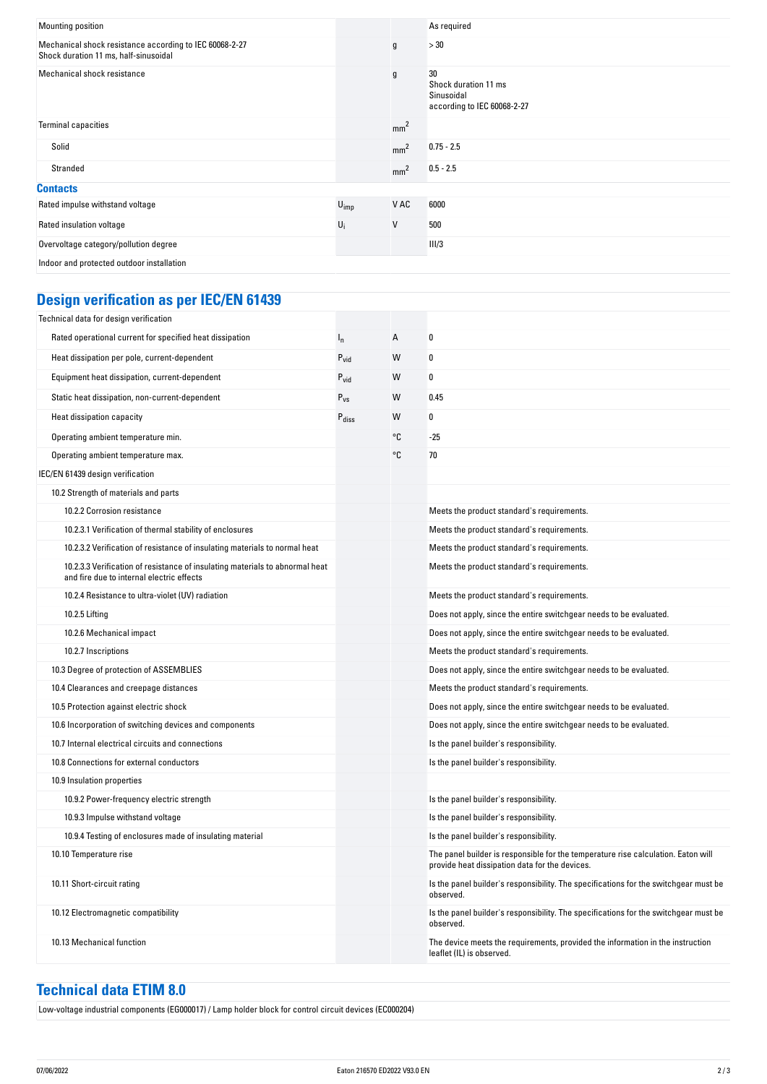| Mounting position                                                                                |           |                 | As required                                                             |
|--------------------------------------------------------------------------------------------------|-----------|-----------------|-------------------------------------------------------------------------|
| Mechanical shock resistance according to IEC 60068-2-27<br>Shock duration 11 ms, half-sinusoidal |           | g               | >30                                                                     |
| Mechanical shock resistance                                                                      |           | $\mathfrak g$   | 30<br>Shock duration 11 ms<br>Sinusoidal<br>according to IEC 60068-2-27 |
| <b>Terminal capacities</b>                                                                       |           | mm <sup>2</sup> |                                                                         |
| Solid                                                                                            |           | mm <sup>2</sup> | $0.75 - 2.5$                                                            |
| Stranded                                                                                         |           | mm <sup>2</sup> | $0.5 - 2.5$                                                             |
| <b>Contacts</b>                                                                                  |           |                 |                                                                         |
| Rated impulse withstand voltage                                                                  | $U_{imp}$ | V AC            | 6000                                                                    |
| Rated insulation voltage                                                                         | $U_i$     | V               | 500                                                                     |
| Overvoltage category/pollution degree                                                            |           |                 | III/3                                                                   |
| Indoor and protected outdoor installation                                                        |           |                 |                                                                         |

# **Design verification as per IEC/EN 61439**

| Technical data for design verification                                                                                    |                   |    |                                                                                                                                     |
|---------------------------------------------------------------------------------------------------------------------------|-------------------|----|-------------------------------------------------------------------------------------------------------------------------------------|
| Rated operational current for specified heat dissipation                                                                  | $I_{n}$           | А  | 0                                                                                                                                   |
| Heat dissipation per pole, current-dependent                                                                              | $P_{\text{vid}}$  | W  | 0                                                                                                                                   |
| Equipment heat dissipation, current-dependent                                                                             | $P_{vid}$         | W  | 0                                                                                                                                   |
| Static heat dissipation, non-current-dependent                                                                            | $P_{VS}$          | W  | 0.45                                                                                                                                |
| Heat dissipation capacity                                                                                                 | $P_{\text{diss}}$ | W  | 0                                                                                                                                   |
| Operating ambient temperature min.                                                                                        |                   | °C | -25                                                                                                                                 |
| Operating ambient temperature max.                                                                                        |                   | °C | 70                                                                                                                                  |
| IEC/EN 61439 design verification                                                                                          |                   |    |                                                                                                                                     |
| 10.2 Strength of materials and parts                                                                                      |                   |    |                                                                                                                                     |
| 10.2.2 Corrosion resistance                                                                                               |                   |    | Meets the product standard's requirements.                                                                                          |
| 10.2.3.1 Verification of thermal stability of enclosures                                                                  |                   |    | Meets the product standard's requirements.                                                                                          |
| 10.2.3.2 Verification of resistance of insulating materials to normal heat                                                |                   |    | Meets the product standard's requirements.                                                                                          |
| 10.2.3.3 Verification of resistance of insulating materials to abnormal heat<br>and fire due to internal electric effects |                   |    | Meets the product standard's requirements.                                                                                          |
| 10.2.4 Resistance to ultra-violet (UV) radiation                                                                          |                   |    | Meets the product standard's requirements.                                                                                          |
| 10.2.5 Lifting                                                                                                            |                   |    | Does not apply, since the entire switchgear needs to be evaluated.                                                                  |
| 10.2.6 Mechanical impact                                                                                                  |                   |    | Does not apply, since the entire switchgear needs to be evaluated.                                                                  |
| 10.2.7 Inscriptions                                                                                                       |                   |    | Meets the product standard's requirements.                                                                                          |
| 10.3 Degree of protection of ASSEMBLIES                                                                                   |                   |    | Does not apply, since the entire switchgear needs to be evaluated.                                                                  |
| 10.4 Clearances and creepage distances                                                                                    |                   |    | Meets the product standard's requirements.                                                                                          |
| 10.5 Protection against electric shock                                                                                    |                   |    | Does not apply, since the entire switchgear needs to be evaluated.                                                                  |
| 10.6 Incorporation of switching devices and components                                                                    |                   |    | Does not apply, since the entire switchgear needs to be evaluated.                                                                  |
| 10.7 Internal electrical circuits and connections                                                                         |                   |    | Is the panel builder's responsibility.                                                                                              |
| 10.8 Connections for external conductors                                                                                  |                   |    | Is the panel builder's responsibility.                                                                                              |
| 10.9 Insulation properties                                                                                                |                   |    |                                                                                                                                     |
| 10.9.2 Power-frequency electric strength                                                                                  |                   |    | Is the panel builder's responsibility.                                                                                              |
| 10.9.3 Impulse withstand voltage                                                                                          |                   |    | Is the panel builder's responsibility.                                                                                              |
| 10.9.4 Testing of enclosures made of insulating material                                                                  |                   |    | Is the panel builder's responsibility.                                                                                              |
| 10.10 Temperature rise                                                                                                    |                   |    | The panel builder is responsible for the temperature rise calculation. Eaton will<br>provide heat dissipation data for the devices. |
| 10.11 Short-circuit rating                                                                                                |                   |    | Is the panel builder's responsibility. The specifications for the switchgear must be<br>observed.                                   |
| 10.12 Electromagnetic compatibility                                                                                       |                   |    | Is the panel builder's responsibility. The specifications for the switchgear must be<br>observed.                                   |
| 10.13 Mechanical function                                                                                                 |                   |    | The device meets the requirements, provided the information in the instruction<br>leaflet (IL) is observed.                         |

# **Technical data ETIM 8.0**

Low-voltage industrial components (EG000017) / Lamp holder block for control circuit devices (EC000204)